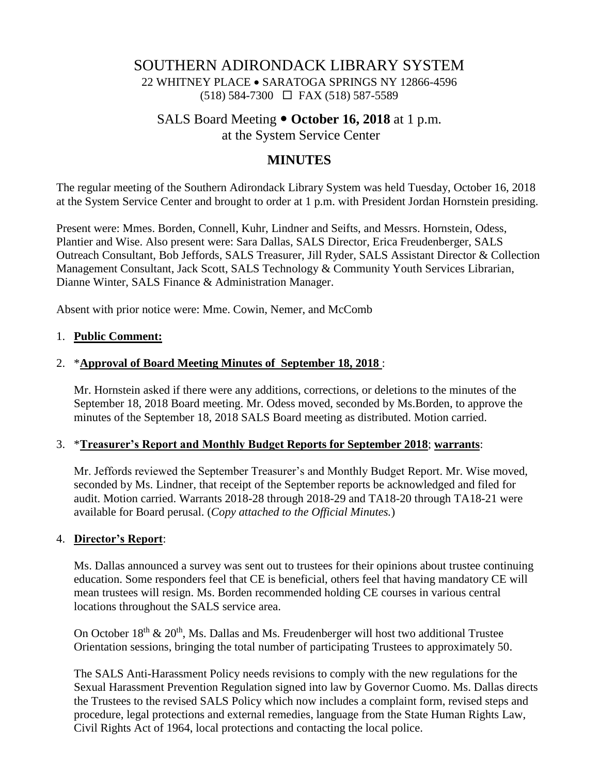# SOUTHERN ADIRONDACK LIBRARY SYSTEM 22 WHITNEY PLACE • SARATOGA SPRINGS NY 12866-4596  $(518)$  584-7300  $\Box$  FAX (518) 587-5589

## SALS Board Meeting  $\bullet$  October 16, 2018 at 1 p.m. at the System Service Center

## **MINUTES**

The regular meeting of the Southern Adirondack Library System was held Tuesday, October 16, 2018 at the System Service Center and brought to order at 1 p.m. with President Jordan Hornstein presiding.

Present were: Mmes. Borden, Connell, Kuhr, Lindner and Seifts, and Messrs. Hornstein, Odess, Plantier and Wise. Also present were: Sara Dallas, SALS Director, Erica Freudenberger, SALS Outreach Consultant, Bob Jeffords, SALS Treasurer, Jill Ryder, SALS Assistant Director & Collection Management Consultant, Jack Scott, SALS Technology & Community Youth Services Librarian, Dianne Winter, SALS Finance & Administration Manager.

Absent with prior notice were: Mme. Cowin, Nemer, and McComb

### 1. **Public Comment:**

### 2. \***Approval of Board Meeting Minutes of September 18, 2018** :

Mr. Hornstein asked if there were any additions, corrections, or deletions to the minutes of the September 18, 2018 Board meeting. Mr. Odess moved, seconded by Ms.Borden, to approve the minutes of the September 18, 2018 SALS Board meeting as distributed. Motion carried.

#### 3. \***Treasurer's Report and Monthly Budget Reports for September 2018**; **warrants**:

Mr. Jeffords reviewed the September Treasurer's and Monthly Budget Report. Mr. Wise moved, seconded by Ms. Lindner, that receipt of the September reports be acknowledged and filed for audit. Motion carried. Warrants 2018-28 through 2018-29 and TA18-20 through TA18-21 were available for Board perusal. (*Copy attached to the Official Minutes.*)

### 4. **Director's Report**:

Ms. Dallas announced a survey was sent out to trustees for their opinions about trustee continuing education. Some responders feel that CE is beneficial, others feel that having mandatory CE will mean trustees will resign. Ms. Borden recommended holding CE courses in various central locations throughout the SALS service area.

On October  $18<sup>th</sup>$  &  $20<sup>th</sup>$ , Ms. Dallas and Ms. Freudenberger will host two additional Trustee Orientation sessions, bringing the total number of participating Trustees to approximately 50.

The SALS Anti-Harassment Policy needs revisions to comply with the new regulations for the Sexual Harassment Prevention Regulation signed into law by Governor Cuomo. Ms. Dallas directs the Trustees to the revised SALS Policy which now includes a complaint form, revised steps and procedure, legal protections and external remedies, language from the State Human Rights Law, Civil Rights Act of 1964, local protections and contacting the local police.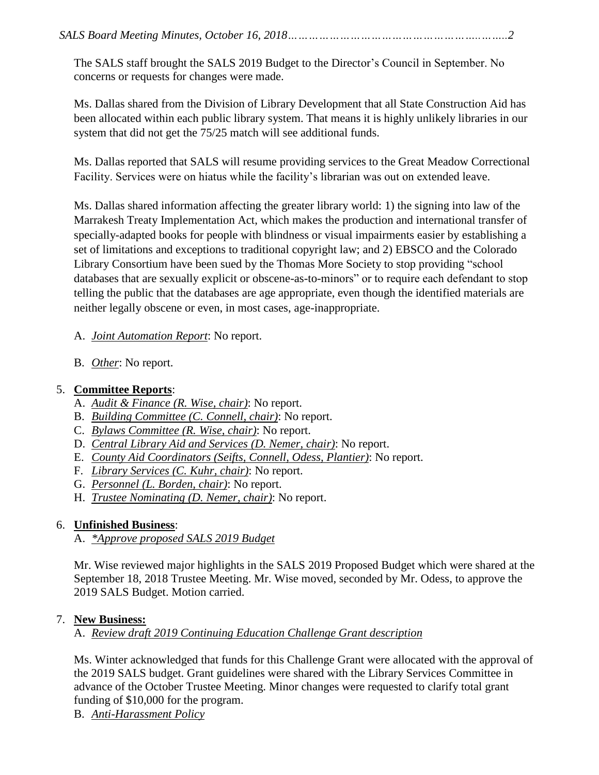The SALS staff brought the SALS 2019 Budget to the Director's Council in September. No concerns or requests for changes were made.

Ms. Dallas shared from the Division of Library Development that all State Construction Aid has been allocated within each public library system. That means it is highly unlikely libraries in our system that did not get the 75/25 match will see additional funds.

Ms. Dallas reported that SALS will resume providing services to the Great Meadow Correctional Facility. Services were on hiatus while the facility's librarian was out on extended leave.

Ms. Dallas shared information affecting the greater library world: 1) the signing into law of the Marrakesh Treaty Implementation Act, which makes the production and international transfer of specially-adapted books for people with blindness or visual impairments easier by establishing a set of limitations and exceptions to traditional copyright law; and 2) EBSCO and the Colorado Library Consortium have been sued by the Thomas More Society to stop providing "school databases that are sexually explicit or obscene-as-to-minors" or to require each defendant to stop telling the public that the databases are age appropriate, even though the identified materials are neither legally obscene or even, in most cases, age-inappropriate.

- A. *Joint Automation Report*: No report.
- B. *Other*: No report.

# 5. **Committee Reports**:

- A. *Audit & Finance (R. Wise, chair)*: No report.
- B. *Building Committee (C. Connell, chair)*: No report.
- C. *Bylaws Committee (R. Wise, chair)*: No report.
- D. *Central Library Aid and Services (D. Nemer, chair)*: No report.
- E. *County Aid Coordinators (Seifts, Connell, Odess, Plantier)*: No report.
- F. *Library Services (C. Kuhr, chair)*: No report.
- G. *Personnel (L. Borden, chair)*: No report.
- H. *Trustee Nominating (D. Nemer, chair)*: No report.

# 6. **Unfinished Business**:

A. *\*Approve proposed SALS 2019 Budget*

Mr. Wise reviewed major highlights in the SALS 2019 Proposed Budget which were shared at the September 18, 2018 Trustee Meeting. Mr. Wise moved, seconded by Mr. Odess, to approve the 2019 SALS Budget. Motion carried.

## 7. **New Business:**

A. *Review draft 2019 Continuing Education Challenge Grant description*

Ms. Winter acknowledged that funds for this Challenge Grant were allocated with the approval of the 2019 SALS budget. Grant guidelines were shared with the Library Services Committee in advance of the October Trustee Meeting. Minor changes were requested to clarify total grant funding of \$10,000 for the program.

B. *Anti-Harassment Policy*